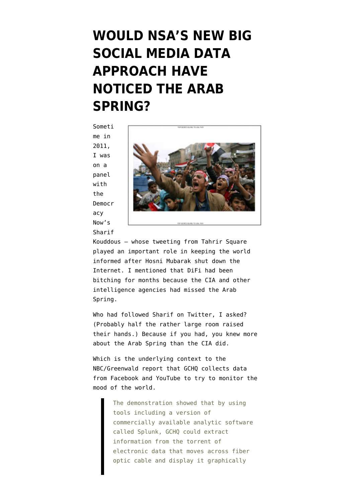## **[WOULD NSA'S NEW BIG](https://www.emptywheel.net/2014/01/27/would-nsas-new-big-social-media-data-approach-have-noticed-the-arab-spring/) [SOCIAL MEDIA DATA](https://www.emptywheel.net/2014/01/27/would-nsas-new-big-social-media-data-approach-have-noticed-the-arab-spring/) [APPROACH HAVE](https://www.emptywheel.net/2014/01/27/would-nsas-new-big-social-media-data-approach-have-noticed-the-arab-spring/) [NOTICED THE ARAB](https://www.emptywheel.net/2014/01/27/would-nsas-new-big-social-media-data-approach-have-noticed-the-arab-spring/) [SPRING?](https://www.emptywheel.net/2014/01/27/would-nsas-new-big-social-media-data-approach-have-noticed-the-arab-spring/)**

Someti me in 2011, I was on a panel with the Democr acy Now's Sharif



Kouddous — whose tweeting from Tahrir Square played an important role in keeping the world informed after Hosni Mubarak shut down the Internet. I mentioned that [DiFi had been](http://www.emptywheel.net/2011/11/04/cias-vengeful-librarians-v-difi-open-source-grudge-match/) [bitching for months](http://www.emptywheel.net/2011/11/04/cias-vengeful-librarians-v-difi-open-source-grudge-match/) because the CIA and other intelligence agencies had missed the Arab Spring.

Who had followed Sharif on Twitter, I asked? (Probably half the rather large room raised their hands.) Because if you had, you knew more about the Arab Spring than the CIA did.

Which is the underlying context to the NBC/Greenwald report that GCHQ [collects](http://investigations.nbcnews.com/_news/2014/01/27/22469304-snowden-docs-reveal-british-spies-snooped-on-youtube-and-facebook?lite) data from Facebook and YouTube to try to monitor the mood of the world.

> The demonstration showed that by using tools including a version of commercially available analytic software called Splunk, GCHQ could extract information from the torrent of electronic data that moves across fiber optic cable and display it graphically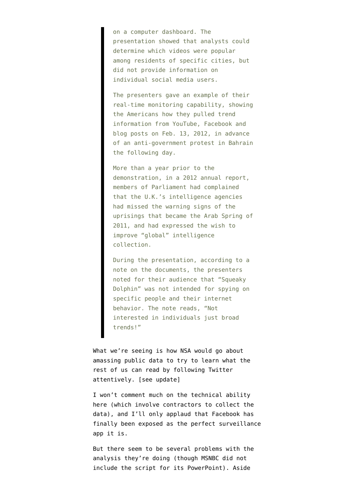on a computer dashboard. The presentation showed that analysts could determine which videos were popular among residents of specific cities, but did not provide information on individual social media users.

The presenters gave an example of their real-time monitoring capability, showing the Americans how they pulled trend information from YouTube, Facebook and blog posts on Feb. 13, 2012, in advance of an anti-government protest in Bahrain the following day.

More than a year prior to the demonstration, in a 2012 annual report, members of Parliament had complained that the U.K.'s intelligence agencies had missed the warning signs of the uprisings that became the Arab Spring of 2011, and had expressed the wish to improve "global" intelligence collection.

During the presentation, according to a note on the documents, the presenters noted for their audience that "Squeaky Dolphin" was not intended for spying on specific people and their internet behavior. The note reads, "Not interested in individuals just broad trends!"

What we're seeing is how NSA would go about amassing public data to try to learn what the rest of us can read by following Twitter attentively. [see update]

I won't comment much on the technical ability here (which involve contractors to collect the data), and I'll only applaud that Facebook has finally been exposed as the perfect surveillance app it is.

But there seem to be several problems with the analysis they're doing (though MSNBC did not include the script for its [PowerPoint](http://msnbcmedia.msn.com/i/msnbc/Sections/NEWS/snowden_youtube_nbc_document.pdf)). Aside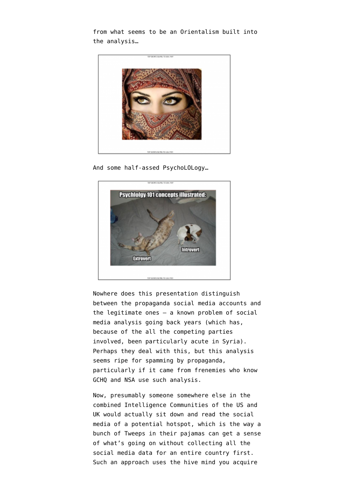from what seems to be an Orientalism built into the analysis…



And some half-assed PsychoLOLogy…



Nowhere does this presentation distinguish between the propaganda social media accounts and the legitimate ones — a known problem of social media analysis going back years (which has, because of the all the competing parties involved, been particularly acute in Syria). Perhaps they deal with this, but this analysis seems ripe for spamming by propaganda, particularly if it came from frenemies who know GCHQ and NSA use such analysis.

Now, presumably someone somewhere else in the combined Intelligence Communities of the US and UK would actually sit down and read the social media of a potential hotspot, which is the way a bunch of Tweeps in their pajamas can get a sense of what's going on without collecting all the social media data for an entire country first. Such an approach uses the hive mind you acquire